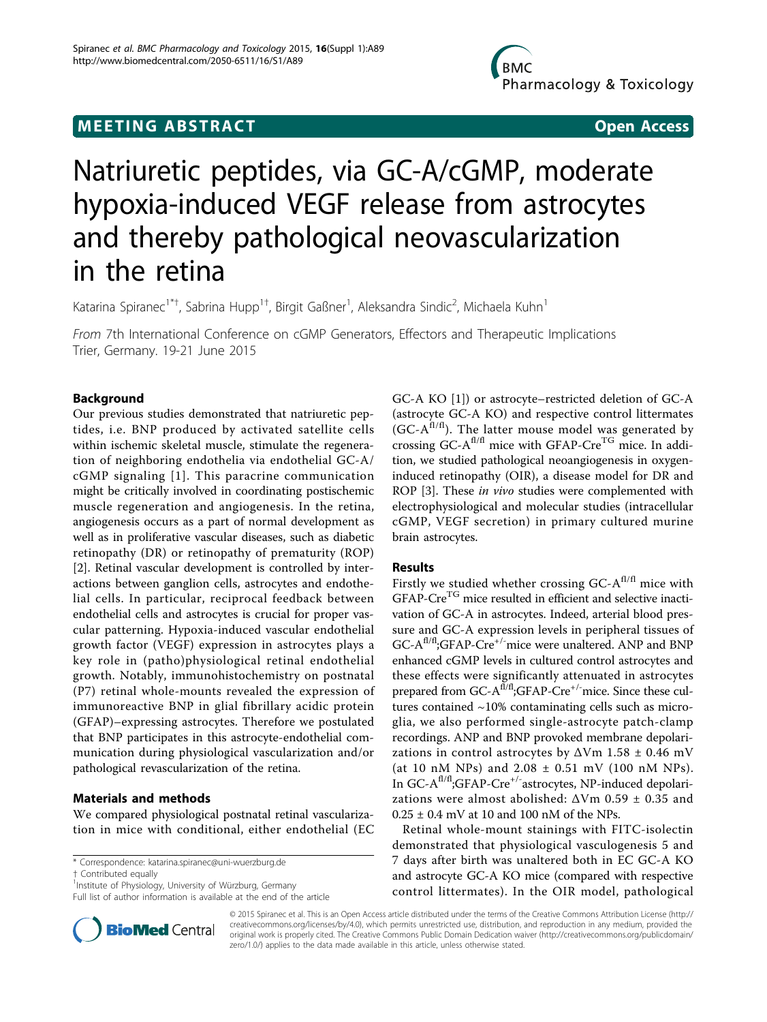## **MEETING ABSTRACT ACCESS**

# Natriuretic peptides, via GC-A/cGMP, moderate hypoxia-induced VEGF release from astrocytes and thereby pathological neovascularization in the retina

Katarina Spiranec<sup>1\*†</sup>, Sabrina Hupp<sup>1†</sup>, Birgit Gaßner<sup>1</sup>, Aleksandra Sindic<sup>2</sup>, Michaela Kuhn<sup>1</sup>

From 7th International Conference on cGMP Generators, Effectors and Therapeutic Implications Trier, Germany. 19-21 June 2015

## Background

Our previous studies demonstrated that natriuretic peptides, i.e. BNP produced by activated satellite cells within ischemic skeletal muscle, stimulate the regeneration of neighboring endothelia via endothelial GC-A/ cGMP signaling [[1](#page-1-0)]. This paracrine communication might be critically involved in coordinating postischemic muscle regeneration and angiogenesis. In the retina, angiogenesis occurs as a part of normal development as well as in proliferative vascular diseases, such as diabetic retinopathy (DR) or retinopathy of prematurity (ROP) [[2\]](#page-1-0). Retinal vascular development is controlled by interactions between ganglion cells, astrocytes and endothelial cells. In particular, reciprocal feedback between endothelial cells and astrocytes is crucial for proper vascular patterning. Hypoxia-induced vascular endothelial growth factor (VEGF) expression in astrocytes plays a key role in (patho)physiological retinal endothelial growth. Notably, immunohistochemistry on postnatal (P7) retinal whole-mounts revealed the expression of immunoreactive BNP in glial fibrillary acidic protein (GFAP)–expressing astrocytes. Therefore we postulated that BNP participates in this astrocyte-endothelial communication during physiological vascularization and/or pathological revascularization of the retina.

## Materials and methods

We compared physiological postnatal retinal vascularization in mice with conditional, either endothelial (EC

\* Correspondence: [katarina.spiranec@uni-wuerzburg.de](mailto:katarina.spiranec@uni-wuerzburg.de)

† Contributed equally <sup>1</sup>

Full list of author information is available at the end of the article



GC-A KO [[1\]](#page-1-0)) or astrocyte–restricted deletion of GC-A (astrocyte GC-A KO) and respective control littermates  $(GC-A<sup>f1/f1</sup>)$ . The latter mouse model was generated by crossing  $GC-A^{fl/f}$  mice with  $GFAP-Cre^{TG}$  mice. In addition, we studied pathological neoangiogenesis in oxygeninduced retinopathy (OIR), a disease model for DR and ROP [\[3](#page-1-0)]. These in vivo studies were complemented with electrophysiological and molecular studies (intracellular cGMP, VEGF secretion) in primary cultured murine brain astrocytes.

## Results

Firstly we studied whether crossing  $GC-A^{fl/fl}$  mice with GFAP-Cre<sup>TG</sup> mice resulted in efficient and selective inactivation of GC-A in astrocytes. Indeed, arterial blood pressure and GC-A expression levels in peripheral tissues of  $GC-A<sup>f1/f</sup>$ ;GFAP-Cre<sup>+/-</sup>mice were unaltered. ANP and BNP enhanced cGMP levels in cultured control astrocytes and these effects were significantly attenuated in astrocytes prepared from GC-A<sup>fl/fl</sup>;GFAP-Cre<sup>+/-</sup>mice. Since these cultures contained ~10% contaminating cells such as microglia, we also performed single-astrocyte patch-clamp recordings. ANP and BNP provoked membrane depolarizations in control astrocytes by  $\Delta$ Vm 1.58 ± 0.46 mV (at 10 nM NPs) and  $2.08 \pm 0.51$  mV (100 nM NPs). In GC-A<sup>fl/fl</sup>;GFAP-Cre<sup>+/-</sup>astrocytes, NP-induced depolarizations were almost abolished:  $\Delta V$ m 0.59 ± 0.35 and  $0.25 \pm 0.4$  mV at 10 and 100 nM of the NPs.

Retinal whole-mount stainings with FITC-isolectin demonstrated that physiological vasculogenesis 5 and 7 days after birth was unaltered both in EC GC-A KO and astrocyte GC-A KO mice (compared with respective control littermates). In the OIR model, pathological

© 2015 Spiranec et al. This is an Open Access article distributed under the terms of the Creative Commons Attribution License [\(http://](http://creativecommons.org/licenses/by/4.0) [creativecommons.org/licenses/by/4.0](http://creativecommons.org/licenses/by/4.0)), which permits unrestricted use, distribution, and reproduction in any medium, provided the original work is properly cited. The Creative Commons Public Domain Dedication waiver ([http://creativecommons.org/publicdomain/](http://creativecommons.org/publicdomain/zero/1.0/) [zero/1.0/](http://creativecommons.org/publicdomain/zero/1.0/)) applies to the data made available in this article, unless otherwise stated.

<sup>&</sup>lt;sup>1</sup>Institute of Physiology, University of Würzburg, Germany